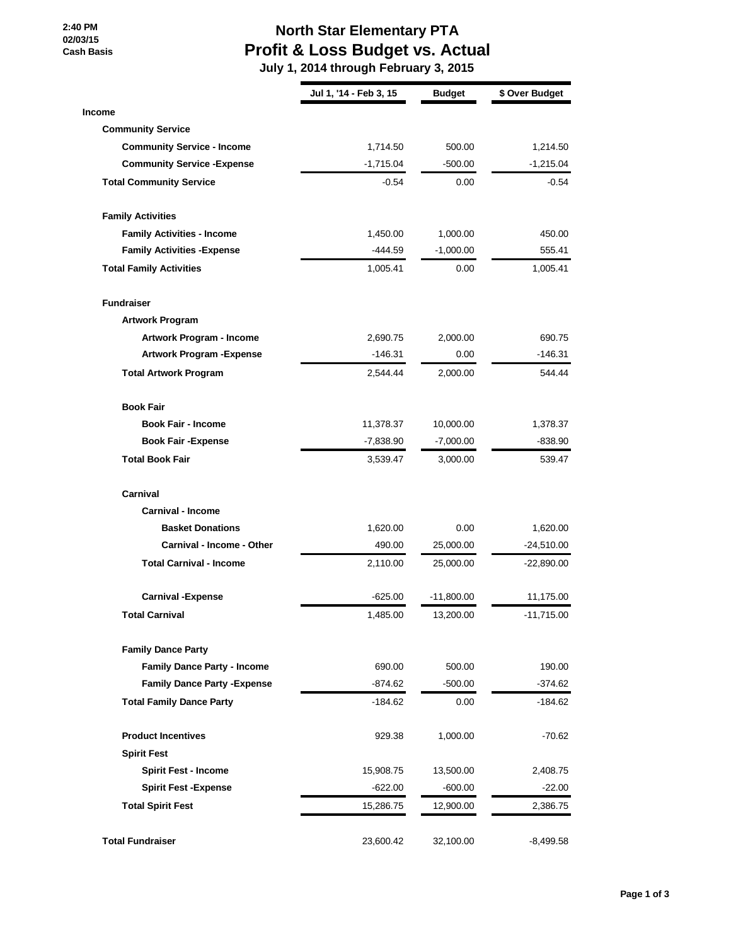**2:40 PM 02/03/15 Cash Basis**

## **North Star Elementary PTA Profit & Loss Budget vs. Actual**

 **July 1, 2014 through February 3, 2015**

|                                     | Jul 1, '14 - Feb 3, 15 | <b>Budget</b> | \$ Over Budget |
|-------------------------------------|------------------------|---------------|----------------|
| <b>Income</b>                       |                        |               |                |
| <b>Community Service</b>            |                        |               |                |
| <b>Community Service - Income</b>   | 1,714.50               | 500.00        | 1,214.50       |
| <b>Community Service - Expense</b>  | $-1,715.04$            | $-500.00$     | $-1,215.04$    |
| <b>Total Community Service</b>      | $-0.54$                | 0.00          | $-0.54$        |
| <b>Family Activities</b>            |                        |               |                |
| <b>Family Activities - Income</b>   | 1,450.00               | 1,000.00      | 450.00         |
| <b>Family Activities - Expense</b>  | $-444.59$              | $-1,000.00$   | 555.41         |
| <b>Total Family Activities</b>      | 1,005.41               | 0.00          | 1,005.41       |
| <b>Fundraiser</b>                   |                        |               |                |
| <b>Artwork Program</b>              |                        |               |                |
| Artwork Program - Income            | 2,690.75               | 2,000.00      | 690.75         |
| <b>Artwork Program - Expense</b>    | $-146.31$              | 0.00          | $-146.31$      |
| <b>Total Artwork Program</b>        | 2,544.44               | 2,000.00      | 544.44         |
| <b>Book Fair</b>                    |                        |               |                |
| <b>Book Fair - Income</b>           | 11,378.37              | 10,000.00     | 1,378.37       |
| <b>Book Fair - Expense</b>          | $-7,838.90$            | $-7,000.00$   | $-838.90$      |
| <b>Total Book Fair</b>              | 3,539.47               | 3,000.00      | 539.47         |
| Carnival                            |                        |               |                |
| <b>Carnival - Income</b>            |                        |               |                |
| <b>Basket Donations</b>             | 1,620.00               | 0.00          | 1,620.00       |
| Carnival - Income - Other           | 490.00                 | 25,000.00     | $-24,510.00$   |
| <b>Total Carnival - Income</b>      | 2,110.00               | 25,000.00     | $-22,890.00$   |
| <b>Carnival -Expense</b>            | $-625.00$              | $-11,800.00$  | 11,175.00      |
| <b>Total Carnival</b>               | 1,485.00               | 13,200.00     | -11,715.00     |
| <b>Family Dance Party</b>           |                        |               |                |
| <b>Family Dance Party - Income</b>  | 690.00                 | 500.00        | 190.00         |
| <b>Family Dance Party - Expense</b> | $-874.62$              | $-500.00$     | $-374.62$      |
| <b>Total Family Dance Party</b>     | -184.62                | 0.00          | -184.62        |
| <b>Product Incentives</b>           | 929.38                 | 1,000.00      | $-70.62$       |
| <b>Spirit Fest</b>                  |                        |               |                |
| <b>Spirit Fest - Income</b>         | 15,908.75              | 13,500.00     | 2,408.75       |
| <b>Spirit Fest - Expense</b>        | -622.00                | -600.00       | $-22.00$       |
| <b>Total Spirit Fest</b>            | 15,286.75              | 12,900.00     | 2,386.75       |
| <b>Total Fundraiser</b>             | 23,600.42              | 32,100.00     | $-8,499.58$    |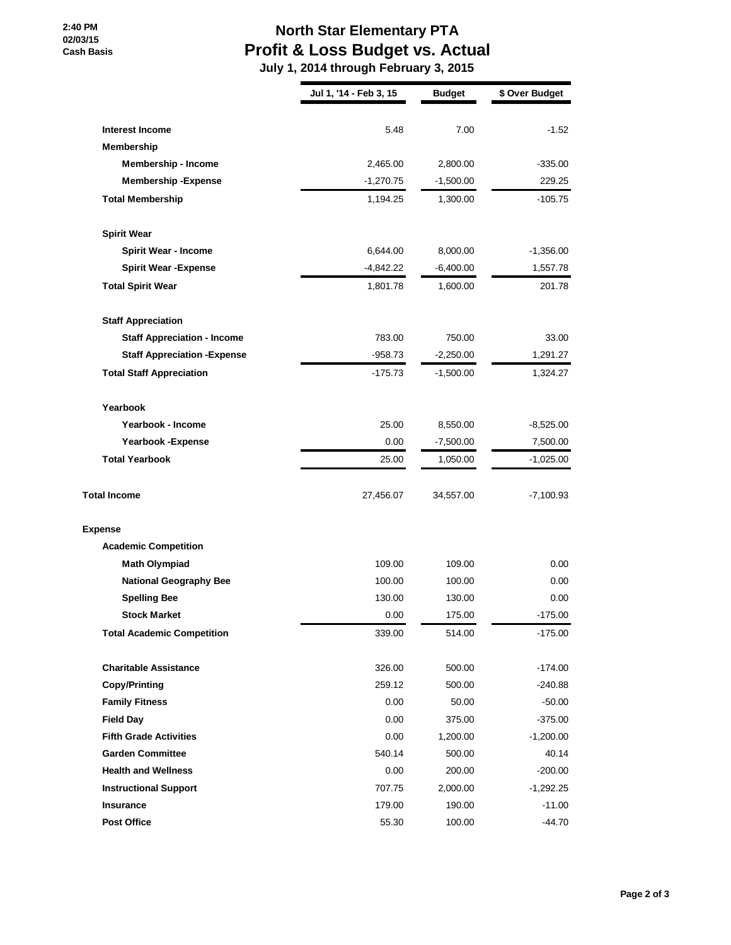## **2:40 PM 02/03/15 Cash Basis**

## **North Star Elementary PTA Profit & Loss Budget vs. Actual**

 **July 1, 2014 through February 3, 2015**

|                                     | Jul 1, '14 - Feb 3, 15 | <b>Budget</b> | \$ Over Budget |
|-------------------------------------|------------------------|---------------|----------------|
|                                     |                        |               |                |
| <b>Interest Income</b>              | 5.48                   | 7.00          | $-1.52$        |
| <b>Membership</b>                   |                        |               |                |
| <b>Membership - Income</b>          | 2,465.00               | 2,800.00      | $-335.00$      |
| <b>Membership - Expense</b>         | $-1,270.75$            | $-1,500.00$   | 229.25         |
| <b>Total Membership</b>             | 1,194.25               | 1,300.00      | $-105.75$      |
| <b>Spirit Wear</b>                  |                        |               |                |
| <b>Spirit Wear - Income</b>         | 6,644.00               | 8,000.00      | $-1,356.00$    |
| <b>Spirit Wear - Expense</b>        | $-4,842.22$            | $-6,400.00$   | 1,557.78       |
| <b>Total Spirit Wear</b>            | 1,801.78               | 1,600.00      | 201.78         |
| <b>Staff Appreciation</b>           |                        |               |                |
| <b>Staff Appreciation - Income</b>  | 783.00                 | 750.00        | 33.00          |
| <b>Staff Appreciation - Expense</b> | $-958.73$              | $-2,250.00$   | 1,291.27       |
| <b>Total Staff Appreciation</b>     | -175.73                | $-1,500.00$   | 1,324.27       |
| Yearbook                            |                        |               |                |
| Yearbook - Income                   | 25.00                  | 8,550.00      | $-8,525.00$    |
| Yearbook - Expense                  | 0.00                   | $-7,500.00$   | 7,500.00       |
| <b>Total Yearbook</b>               | 25.00                  | 1,050.00      | $-1,025.00$    |
| <b>Total Income</b>                 | 27,456.07              | 34,557.00     | $-7,100.93$    |
| <b>Expense</b>                      |                        |               |                |
| <b>Academic Competition</b>         |                        |               |                |
| <b>Math Olympiad</b>                | 109.00                 | 109.00        | 0.00           |
| <b>National Geography Bee</b>       | 100.00                 | 100.00        | 0.00           |
| <b>Spelling Bee</b>                 | 130.00                 | 130.00        | 0.00           |
| <b>Stock Market</b>                 | 0.00                   | 175.00        | $-175.00$      |
| <b>Total Academic Competition</b>   | 339.00                 | 514.00        | $-175.00$      |
| <b>Charitable Assistance</b>        | 326.00                 | 500.00        | $-174.00$      |
| <b>Copy/Printing</b>                | 259.12                 | 500.00        | $-240.88$      |
| <b>Family Fitness</b>               | 0.00                   | 50.00         | $-50.00$       |
| <b>Field Day</b>                    | 0.00                   | 375.00        | $-375.00$      |
| <b>Fifth Grade Activities</b>       | 0.00                   | 1,200.00      | $-1,200.00$    |
| <b>Garden Committee</b>             | 540.14                 | 500.00        | 40.14          |
| <b>Health and Wellness</b>          | 0.00                   | 200.00        | $-200.00$      |
| <b>Instructional Support</b>        | 707.75                 | 2,000.00      | $-1,292.25$    |
| Insurance                           | 179.00                 | 190.00        | $-11.00$       |
| <b>Post Office</b>                  | 55.30                  | 100.00        | -44.70         |